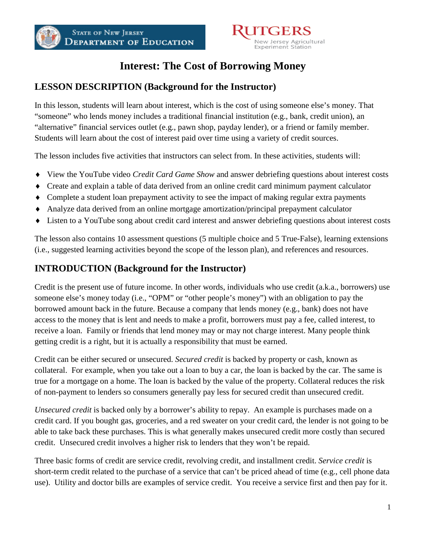

## **Interest: The Cost of Borrowing Money**

## **LESSON DESCRIPTION (Background for the Instructor)**

In this lesson, students will learn about interest, which is the cost of using someone else's money. That "someone" who lends money includes a traditional financial institution (e.g., bank, credit union), an "alternative" financial services outlet (e.g., pawn shop, payday lender), or a friend or family member. Students will learn about the cost of interest paid over time using a variety of credit sources.

The lesson includes five activities that instructors can select from. In these activities, students will:

- ♦ View the YouTube video *Credit Card Game Show* and answer debriefing questions about interest costs
- ♦ Create and explain a table of data derived from an online credit card minimum payment calculator
- ♦ Complete a student loan prepayment activity to see the impact of making regular extra payments
- ♦ Analyze data derived from an online mortgage amortization/principal prepayment calculator
- ♦ Listen to a YouTube song about credit card interest and answer debriefing questions about interest costs

The lesson also contains 10 assessment questions (5 multiple choice and 5 True-False), learning extensions (i.e., suggested learning activities beyond the scope of the lesson plan), and references and resources.

## **INTRODUCTION (Background for the Instructor)**

Credit is the present use of future income. In other words, individuals who use credit (a.k.a., borrowers) use someone else's money today (i.e., "OPM" or "other people's money") with an obligation to pay the borrowed amount back in the future. Because a company that lends money (e.g., bank) does not have access to the money that is lent and needs to make a profit, borrowers must pay a fee, called interest, to receive a loan. Family or friends that lend money may or may not charge interest. Many people think getting credit is a right, but it is actually a responsibility that must be earned.

Credit can be either secured or unsecured. *Secured credit* is backed by property or cash, known as collateral. For example, when you take out a loan to buy a car, the loan is backed by the car. The same is true for a mortgage on a home. The loan is backed by the value of the property. Collateral reduces the risk of non-payment to lenders so consumers generally pay less for secured credit than unsecured credit.

*Unsecured credit* is backed only by a borrower's ability to repay. An example is purchases made on a credit card. If you bought gas, groceries, and a red sweater on your credit card, the lender is not going to be able to take back these purchases. This is what generally makes unsecured credit more costly than secured credit. Unsecured credit involves a higher risk to lenders that they won't be repaid.

Three basic forms of credit are service credit, revolving credit, and installment credit. *Service credit* is short-term credit related to the purchase of a service that can't be priced ahead of time (e.g., cell phone data use). Utility and doctor bills are examples of service credit. You receive a service first and then pay for it.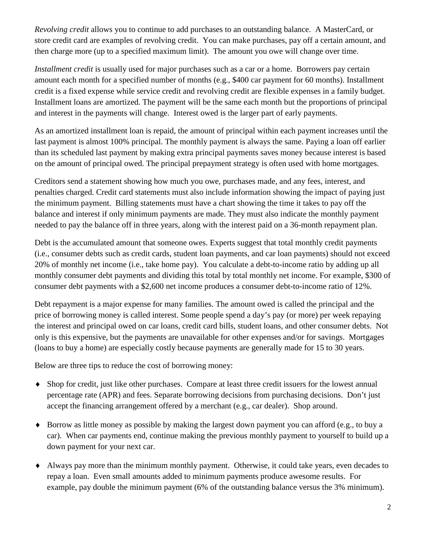*Revolving credit* allows you to continue to add purchases to an outstanding balance. A MasterCard, or store credit card are examples of revolving credit. You can make purchases, pay off a certain amount, and then charge more (up to a specified maximum limit). The amount you owe will change over time.

*Installment credit* is usually used for major purchases such as a car or a home. Borrowers pay certain amount each month for a specified number of months (e.g., \$400 car payment for 60 months). Installment credit is a fixed expense while service credit and revolving credit are flexible expenses in a family budget. Installment loans are amortized. The payment will be the same each month but the proportions of principal and interest in the payments will change. Interest owed is the larger part of early payments.

As an amortized installment loan is repaid, the amount of principal within each payment increases until the last payment is almost 100% principal. The monthly payment is always the same. Paying a loan off earlier than its scheduled last payment by making extra principal payments saves money because interest is based on the amount of principal owed. The principal prepayment strategy is often used with home mortgages.

Creditors send a statement showing how much you owe, purchases made, and any fees, interest, and penalties charged. Credit card statements must also include information showing the impact of paying just the minimum payment. Billing statements must have a chart showing the time it takes to pay off the balance and interest if only minimum payments are made. They must also indicate the monthly payment needed to pay the balance off in three years, along with the interest paid on a 36-month repayment plan.

Debt is the accumulated amount that someone owes. Experts suggest that total monthly credit payments (i.e., consumer debts such as credit cards, student loan payments, and car loan payments) should not exceed 20% of monthly net income (i.e., take home pay). You calculate a debt-to-income ratio by adding up all monthly consumer debt payments and dividing this total by total monthly net income. For example, \$300 of consumer debt payments with a \$2,600 net income produces a consumer debt-to-income ratio of 12%.

Debt repayment is a major expense for many families. The amount owed is called the principal and the price of borrowing money is called interest. Some people spend a day's pay (or more) per week repaying the interest and principal owed on car loans, credit card bills, student loans, and other consumer debts. Not only is this expensive, but the payments are unavailable for other expenses and/or for savings. Mortgages (loans to buy a home) are especially costly because payments are generally made for 15 to 30 years.

Below are three tips to reduce the cost of borrowing money:

- ♦ Shop for credit, just like other purchases. Compare at least three credit issuers for the lowest annual percentage rate (APR) and fees. Separate borrowing decisions from purchasing decisions. Don't just accept the financing arrangement offered by a merchant (e.g., car dealer). Shop around.
- ♦ Borrow as little money as possible by making the largest down payment you can afford (e.g., to buy a car). When car payments end, continue making the previous monthly payment to yourself to build up a down payment for your next car.
- ♦ Always pay more than the minimum monthly payment. Otherwise, it could take years, even decades to repay a loan. Even small amounts added to minimum payments produce awesome results. For example, pay double the minimum payment (6% of the outstanding balance versus the 3% minimum).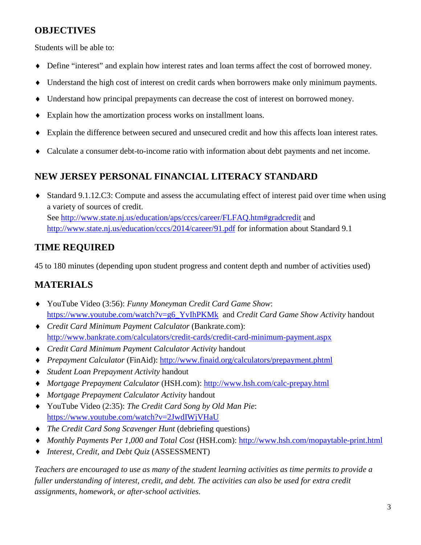## **OBJECTIVES**

Students will be able to:

- ♦ Define "interest" and explain how interest rates and loan terms affect the cost of borrowed money.
- ♦ Understand the high cost of interest on credit cards when borrowers make only minimum payments.
- ♦ Understand how principal prepayments can decrease the cost of interest on borrowed money.
- ♦ Explain how the amortization process works on installment loans.
- Explain the difference between secured and unsecured credit and how this affects loan interest rates.
- ♦ Calculate a consumer debt-to-income ratio with information about debt payments and net income.

## **NEW JERSEY PERSONAL FINANCIAL LITERACY STANDARD**

♦ Standard 9.1.12.C3: Compute and assess the accumulating effect of interest paid over time when using a variety of sources of credit. See<http://www.state.nj.us/education/aps/cccs/career/FLFAQ.htm#gradcredit> and <http://www.state.nj.us/education/cccs/2014/career/91.pdf> for information about Standard 9.1

## **TIME REQUIRED**

45 to 180 minutes (depending upon student progress and content depth and number of activities used)

## **MATERIALS**

- ♦ YouTube Video (3:56): *Funny Moneyman Credit Card Game Show*: [https://www.youtube.com/watch?v=g6\\_YvIhPKMk](https://www.youtube.com/watch?v=g6_YvIhPKMk) and *Credit Card Game Show Activity* handout
- ♦ *Credit Card Minimum Payment Calculator* (Bankrate.com): <http://www.bankrate.com/calculators/credit-cards/credit-card-minimum-payment.aspx>
- ♦ *Credit Card Minimum Payment Calculator Activity* handout
- ♦ *Prepayment Calculator* (FinAid):<http://www.finaid.org/calculators/prepayment.phtml>
- ♦ *Student Loan Prepayment Activity* handout
- ♦ *Mortgage Prepayment Calculator* (HSH.com):<http://www.hsh.com/calc-prepay.html>
- ♦ *Mortgage Prepayment Calculator Activity* handout
- ♦ YouTube Video (2:35): *The Credit Card Song by Old Man Pie*: <https://www.youtube.com/watch?v=2JwdIWjVHaU>
- ♦ *The Credit Card Song Scavenger Hunt* (debriefing questions)
- ♦ *Monthly Payments Per 1,000 and Total Cost* (HSH.com):<http://www.hsh.com/mopaytable-print.html>
- ♦ *Interest, Credit, and Debt Quiz* (ASSESSMENT)

*Teachers are encouraged to use as many of the student learning activities as time permits to provide a fuller understanding of interest, credit, and debt. The activities can also be used for extra credit assignments, homework, or after-school activities.*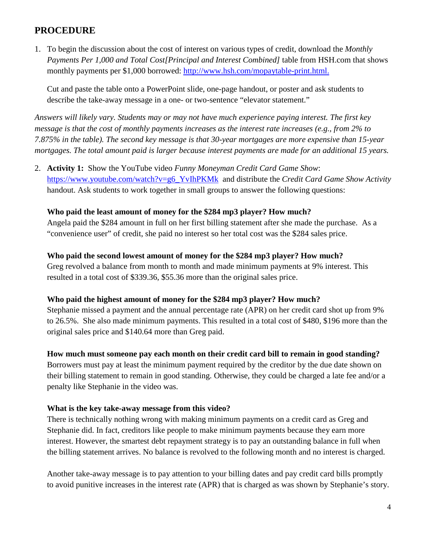## **PROCEDURE**

1. To begin the discussion about the cost of interest on various types of credit, download the *Monthly Payments Per 1,000 and Total Cost[Principal and Interest Combined]* table from HSH.com that shows monthly payments per \$1,000 borrowed: [http://www.hsh.com/mopaytable-print.html.](http://www.hsh.com/mopaytable-print.html)

Cut and paste the table onto a PowerPoint slide, one-page handout, or poster and ask students to describe the take-away message in a one- or two-sentence "elevator statement."

*Answers will likely vary. Students may or may not have much experience paying interest. The first key message is that the cost of monthly payments increases as the interest rate increases (e.g., from 2% to 7.875% in the table). The second key message is that 30-year mortgages are more expensive than 15-year mortgages. The total amount paid is larger because interest payments are made for an additional 15 years.*

2. **Activity 1:** Show the YouTube video *Funny Moneyman Credit Card Game Show*: [https://www.youtube.com/watch?v=g6\\_YvIhPKMk](https://www.youtube.com/watch?v=g6_YvIhPKMk) and distribute the *Credit Card Game Show Activity*  handout. Ask students to work together in small groups to answer the following questions:

#### **Who paid the least amount of money for the \$284 mp3 player? How much?**

Angela paid the \$284 amount in full on her first billing statement after she made the purchase. As a "convenience user" of credit, she paid no interest so her total cost was the \$284 sales price.

#### **Who paid the second lowest amount of money for the \$284 mp3 player? How much?**

Greg revolved a balance from month to month and made minimum payments at 9% interest. This resulted in a total cost of \$339.36, \$55.36 more than the original sales price.

#### **Who paid the highest amount of money for the \$284 mp3 player? How much?**

Stephanie missed a payment and the annual percentage rate (APR) on her credit card shot up from 9% to 26.5%. She also made minimum payments. This resulted in a total cost of \$480, \$196 more than the original sales price and \$140.64 more than Greg paid.

#### **How much must someone pay each month on their credit card bill to remain in good standing?**

Borrowers must pay at least the minimum payment required by the creditor by the due date shown on their billing statement to remain in good standing. Otherwise, they could be charged a late fee and/or a penalty like Stephanie in the video was.

#### **What is the key take-away message from this video?**

There is technically nothing wrong with making minimum payments on a credit card as Greg and Stephanie did. In fact, creditors like people to make minimum payments because they earn more interest. However, the smartest debt repayment strategy is to pay an outstanding balance in full when the billing statement arrives. No balance is revolved to the following month and no interest is charged.

Another take-away message is to pay attention to your billing dates and pay credit card bills promptly to avoid punitive increases in the interest rate (APR) that is charged as was shown by Stephanie's story.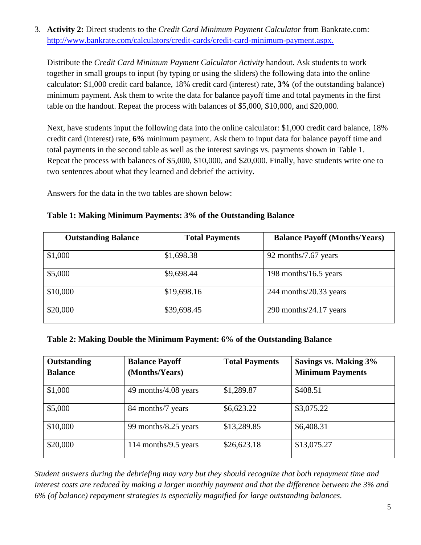3. **Activity 2:** Direct students to the *Credit Card Minimum Payment Calculator* from Bankrate.com: [http://www.bankrate.com/calculators/credit-cards/credit-card-minimum-payment.aspx.](http://www.bankrate.com/calculators/credit-cards/credit-card-minimum-payment.aspx)

Distribute the *Credit Card Minimum Payment Calculator Activity* handout. Ask students to work together in small groups to input (by typing or using the sliders) the following data into the online calculator: \$1,000 credit card balance, 18% credit card (interest) rate, **3%** (of the outstanding balance) minimum payment. Ask them to write the data for balance payoff time and total payments in the first table on the handout. Repeat the process with balances of \$5,000, \$10,000, and \$20,000.

Next, have students input the following data into the online calculator: \$1,000 credit card balance, 18% credit card (interest) rate, **6%** minimum payment. Ask them to input data for balance payoff time and total payments in the second table as well as the interest savings vs. payments shown in Table 1. Repeat the process with balances of \$5,000, \$10,000, and \$20,000. Finally, have students write one to two sentences about what they learned and debrief the activity.

Answers for the data in the two tables are shown below:

| <b>Outstanding Balance</b> | <b>Total Payments</b> | <b>Balance Payoff (Months/Years)</b> |
|----------------------------|-----------------------|--------------------------------------|
| \$1,000                    | \$1,698.38            | 92 months/7.67 years                 |
| \$5,000                    | \$9,698.44            | 198 months/16.5 years                |
| \$10,000                   | \$19,698.16           | $244$ months/20.33 years             |
| \$20,000                   | \$39,698.45           | $290$ months/ $24.17$ years          |

**Table 1: Making Minimum Payments: 3% of the Outstanding Balance**

#### **Table 2: Making Double the Minimum Payment: 6% of the Outstanding Balance**

| Outstanding<br><b>Balance</b> | <b>Balance Payoff</b><br>(Months/Years) | <b>Total Payments</b> | Savings vs. Making 3%<br><b>Minimum Payments</b> |
|-------------------------------|-----------------------------------------|-----------------------|--------------------------------------------------|
| \$1,000                       | 49 months/4.08 years                    | \$1,289.87            | \$408.51                                         |
| \$5,000                       | 84 months/7 years                       | \$6,623.22            | \$3,075.22                                       |
| \$10,000                      | 99 months/8.25 years                    | \$13,289.85           | \$6,408.31                                       |
| \$20,000                      | 114 months/9.5 years                    | \$26,623.18           | \$13,075.27                                      |

*Student answers during the debriefing may vary but they should recognize that both repayment time and interest costs are reduced by making a larger monthly payment and that the difference between the 3% and 6% (of balance) repayment strategies is especially magnified for large outstanding balances.*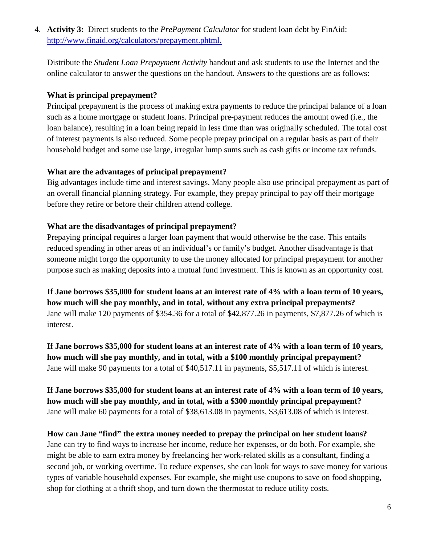4. **Activity 3:** Direct students to the *PrePayment Calculator* for student loan debt by FinAid: [http://www.finaid.org/calculators/prepayment.phtml.](http://www.finaid.org/calculators/prepayment.phtml)

Distribute the *Student Loan Prepayment Activity* handout and ask students to use the Internet and the online calculator to answer the questions on the handout. Answers to the questions are as follows:

### **What is principal prepayment?**

Principal prepayment is the process of making extra payments to reduce the principal balance of a loan such as a home mortgage or student loans. Principal pre-payment reduces the amount owed (i.e., the loan balance), resulting in a loan being repaid in less time than was originally scheduled. The total cost of interest payments is also reduced. Some people prepay principal on a regular basis as part of their household budget and some use large, irregular lump sums such as cash gifts or income tax refunds.

### **What are the advantages of principal prepayment?**

Big advantages include time and interest savings. Many people also use principal prepayment as part of an overall financial planning strategy. For example, they prepay principal to pay off their mortgage before they retire or before their children attend college.

### **What are the disadvantages of principal prepayment?**

Prepaying principal requires a larger loan payment that would otherwise be the case. This entails reduced spending in other areas of an individual's or family's budget. Another disadvantage is that someone might forgo the opportunity to use the money allocated for principal prepayment for another purpose such as making deposits into a mutual fund investment. This is known as an opportunity cost.

**If Jane borrows \$35,000 for student loans at an interest rate of 4% with a loan term of 10 years, how much will she pay monthly, and in total, without any extra principal prepayments?** Jane will make 120 payments of \$354.36 for a total of \$42,877.26 in payments, \$7,877.26 of which is interest.

**If Jane borrows \$35,000 for student loans at an interest rate of 4% with a loan term of 10 years, how much will she pay monthly, and in total, with a \$100 monthly principal prepayment?** Jane will make 90 payments for a total of \$40,517.11 in payments, \$5,517.11 of which is interest.

**If Jane borrows \$35,000 for student loans at an interest rate of 4% with a loan term of 10 years, how much will she pay monthly, and in total, with a \$300 monthly principal prepayment?** Jane will make 60 payments for a total of \$38,613.08 in payments, \$3,613.08 of which is interest.

**How can Jane "find" the extra money needed to prepay the principal on her student loans?** Jane can try to find ways to increase her income, reduce her expenses, or do both. For example, she might be able to earn extra money by freelancing her work-related skills as a consultant, finding a second job, or working overtime. To reduce expenses, she can look for ways to save money for various types of variable household expenses. For example, she might use coupons to save on food shopping, shop for clothing at a thrift shop, and turn down the thermostat to reduce utility costs.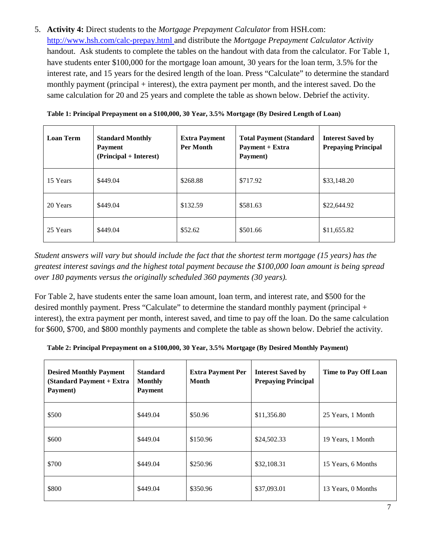5. **Activity 4:** Direct students to the *Mortgage Prepayment Calculator* from HSH.com: <http://www.hsh.com/calc-prepay.html> and distribute the *Mortgage Prepayment Calculator Activity* handout. Ask students to complete the tables on the handout with data from the calculator. For Table 1, have students enter \$100,000 for the mortgage loan amount, 30 years for the loan term, 3.5% for the interest rate, and 15 years for the desired length of the loan. Press "Calculate" to determine the standard monthly payment (principal + interest), the extra payment per month, and the interest saved. Do the same calculation for 20 and 25 years and complete the table as shown below. Debrief the activity.

| <b>Loan Term</b> | <b>Standard Monthly</b><br><b>Payment</b><br>(Principal + Interest) | <b>Extra Payment</b><br><b>Per Month</b> | <b>Total Payment (Standard</b><br>Payment + Extra<br>Payment) | <b>Interest Saved by</b><br><b>Prepaying Principal</b> |
|------------------|---------------------------------------------------------------------|------------------------------------------|---------------------------------------------------------------|--------------------------------------------------------|
| 15 Years         | \$449.04                                                            | \$268.88                                 | \$717.92                                                      | \$33,148.20                                            |
| 20 Years         | \$449.04                                                            | \$132.59                                 | \$581.63                                                      | \$22,644.92                                            |
| 25 Years         | \$449.04                                                            | \$52.62                                  | \$501.66                                                      | \$11,655.82                                            |

*Student answers will vary but should include the fact that the shortest term mortgage (15 years) has the greatest interest savings and the highest total payment because the \$100,000 loan amount is being spread over 180 payments versus the originally scheduled 360 payments (30 years).* 

For Table 2, have students enter the same loan amount, loan term, and interest rate, and \$500 for the desired monthly payment. Press "Calculate" to determine the standard monthly payment (principal + interest), the extra payment per month, interest saved, and time to pay off the loan. Do the same calculation for \$600, \$700, and \$800 monthly payments and complete the table as shown below. Debrief the activity.

| Table 2: Principal Prepayment on a \$100,000, 30 Year, 3.5% Mortgage (By Desired Monthly Payment) |  |  |
|---------------------------------------------------------------------------------------------------|--|--|
|                                                                                                   |  |  |

| <b>Desired Monthly Payment</b><br>(Standard Payment + Extra<br>Payment) | <b>Standard</b><br><b>Monthly</b><br><b>Payment</b> | <b>Extra Payment Per</b><br>Month | <b>Interest Saved by</b><br><b>Prepaying Principal</b> | Time to Pay Off Loan |
|-------------------------------------------------------------------------|-----------------------------------------------------|-----------------------------------|--------------------------------------------------------|----------------------|
| \$500                                                                   | \$449.04                                            | \$50.96                           | \$11,356.80                                            | 25 Years, 1 Month    |
| \$600                                                                   | \$449.04                                            | \$150.96                          | \$24,502.33                                            | 19 Years, 1 Month    |
| \$700                                                                   | \$449.04                                            | \$250.96                          | \$32,108.31                                            | 15 Years, 6 Months   |
| \$800                                                                   | \$449.04                                            | \$350.96                          | \$37,093.01                                            | 13 Years, 0 Months   |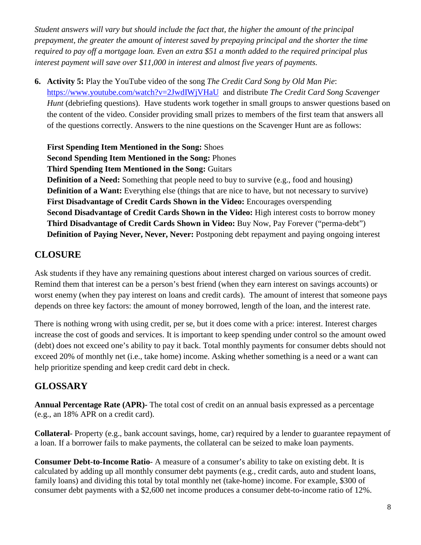*Student answers will vary but should include the fact that, the higher the amount of the principal prepayment, the greater the amount of interest saved by prepaying principal and the shorter the time required to pay off a mortgage loan. Even an extra \$51 a month added to the required principal plus interest payment will save over \$11,000 in interest and almost five years of payments.*

**6. Activity 5:** Play the YouTube video of the song *The Credit Card Song by Old Man Pie*: <https://www.youtube.com/watch?v=2JwdIWjVHaU> and distribute *The Credit Card Song Scavenger Hunt* (debriefing questions). Have students work together in small groups to answer questions based on the content of the video. Consider providing small prizes to members of the first team that answers all of the questions correctly. Answers to the nine questions on the Scavenger Hunt are as follows:

**First Spending Item Mentioned in the Song:** Shoes **Second Spending Item Mentioned in the Song:** Phones **Third Spending Item Mentioned in the Song:** Guitars **Definition of a Need:** Something that people need to buy to survive (e.g., food and housing) **Definition of a Want:** Everything else (things that are nice to have, but not necessary to survive) **First Disadvantage of Credit Cards Shown in the Video:** Encourages overspending **Second Disadvantage of Credit Cards Shown in the Video:** High interest costs to borrow money **Third Disadvantage of Credit Cards Shown in Video:** Buy Now, Pay Forever ("perma-debt") **Definition of Paying Never, Never, Never:** Postponing debt repayment and paying ongoing interest

## **CLOSURE**

Ask students if they have any remaining questions about interest charged on various sources of credit. Remind them that interest can be a person's best friend (when they earn interest on savings accounts) or worst enemy (when they pay interest on loans and credit cards). The amount of interest that someone pays depends on three key factors: the amount of money borrowed, length of the loan, and the interest rate.

There is nothing wrong with using credit, per se, but it does come with a price: interest. Interest charges increase the cost of goods and services. It is important to keep spending under control so the amount owed (debt) does not exceed one's ability to pay it back. Total monthly payments for consumer debts should not exceed 20% of monthly net (i.e., take home) income. Asking whether something is a need or a want can help prioritize spending and keep credit card debt in check.

## **GLOSSARY**

**Annual Percentage Rate (APR)-** The total cost of credit on an annual basis expressed as a percentage (e.g., an 18% APR on a credit card).

**Collateral**- Property (e.g., bank account savings, home, car) required by a lender to guarantee repayment of a loan. If a borrower fails to make payments, the collateral can be seized to make loan payments.

**Consumer Debt-to-Income Ratio**- A measure of a consumer's ability to take on existing debt. It is calculated by adding up all monthly consumer debt payments (e.g., credit cards, auto and student loans, family loans) and dividing this total by total monthly net (take-home) income. For example, \$300 of consumer debt payments with a \$2,600 net income produces a consumer debt-to-income ratio of 12%.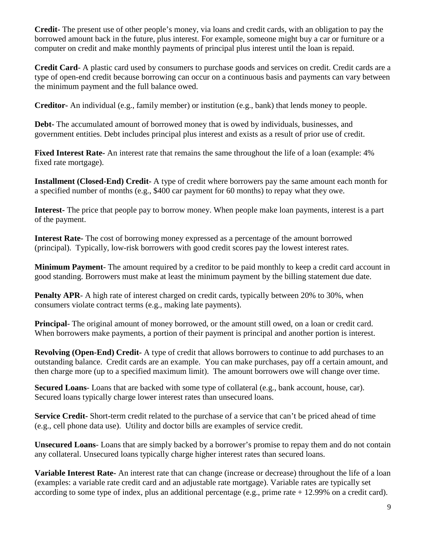**Credit-** The present use of other people's money, via loans and credit cards, with an obligation to pay the borrowed amount back in the future, plus interest. For example, someone might buy a car or furniture or a computer on credit and make monthly payments of principal plus interest until the loan is repaid.

**Credit Card**- A plastic card used by consumers to purchase goods and services on credit. Credit cards are a type of open-end credit because borrowing can occur on a continuous basis and payments can vary between the minimum payment and the full balance owed.

**Creditor-** An individual (e.g., family member) or institution (e.g., bank) that lends money to people.

**Debt-** The accumulated amount of borrowed money that is owed by individuals, businesses, and government entities. Debt includes principal plus interest and exists as a result of prior use of credit.

**Fixed Interest Rate-** An interest rate that remains the same throughout the life of a loan (example: 4% fixed rate mortgage).

**Installment (Closed-End) Credit-** A type of credit where borrowers pay the same amount each month for a specified number of months (e.g., \$400 car payment for 60 months) to repay what they owe.

**Interest-** The price that people pay to borrow money. When people make loan payments, interest is a part of the payment.

**Interest Rate-** The cost of borrowing money expressed as a percentage of the amount borrowed (principal). Typically, low-risk borrowers with good credit scores pay the lowest interest rates.

**Minimum Payment**- The amount required by a creditor to be paid monthly to keep a credit card account in good standing. Borrowers must make at least the minimum payment by the billing statement due date.

Penalty APR- A high rate of interest charged on credit cards, typically between 20% to 30%, when consumers violate contract terms (e.g., making late payments).

**Principal**- The original amount of money borrowed, or the amount still owed, on a loan or credit card. When borrowers make payments, a portion of their payment is principal and another portion is interest.

**Revolving (Open-End) Credit-** A type of credit that allows borrowers to continue to add purchases to an outstanding balance. Credit cards are an example. You can make purchases, pay off a certain amount, and then charge more (up to a specified maximum limit). The amount borrowers owe will change over time.

**Secured Loans**- Loans that are backed with some type of collateral (e.g., bank account, house, car). Secured loans typically charge lower interest rates than unsecured loans.

**Service Credit-** Short-term credit related to the purchase of a service that can't be priced ahead of time (e.g., cell phone data use). Utility and doctor bills are examples of service credit.

**Unsecured Loans**- Loans that are simply backed by a borrower's promise to repay them and do not contain any collateral. Unsecured loans typically charge higher interest rates than secured loans.

**Variable Interest Rate-** An interest rate that can change (increase or decrease) throughout the life of a loan (examples: a variable rate credit card and an adjustable rate mortgage). Variable rates are typically set according to some type of index, plus an additional percentage (e.g., prime rate + 12.99% on a credit card).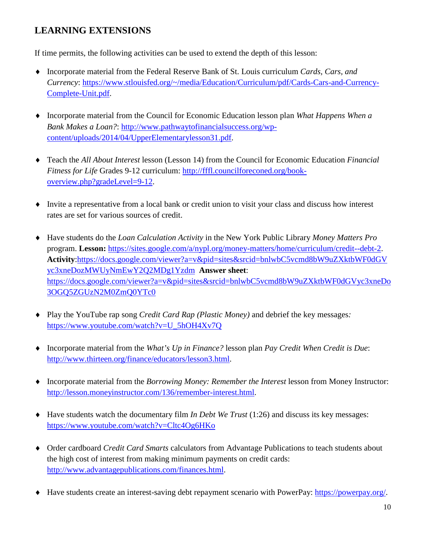## **LEARNING EXTENSIONS**

If time permits, the following activities can be used to extend the depth of this lesson:

- ♦ Incorporate material from the Federal Reserve Bank of St. Louis curriculum *Cards, Cars, and Currency*: [https://www.stlouisfed.org/~/media/Education/Curriculum/pdf/Cards-Cars-and-Currency-](https://www.stlouisfed.org/~/media/Education/Curriculum/pdf/Cards-Cars-and-Currency-Complete-Unit.pdf)[Complete-Unit.pdf.](https://www.stlouisfed.org/~/media/Education/Curriculum/pdf/Cards-Cars-and-Currency-Complete-Unit.pdf)
- ♦ Incorporate material from the Council for Economic Education lesson plan *What Happens When a Bank Makes a Loan?*: [http://www.pathwaytofinancialsuccess.org/wp](http://www.pathwaytofinancialsuccess.org/wp-content/uploads/2014/04/UpperElementarylesson31.pdf)[content/uploads/2014/04/UpperElementarylesson31.pdf.](http://www.pathwaytofinancialsuccess.org/wp-content/uploads/2014/04/UpperElementarylesson31.pdf)
- ♦ Teach the *All About Interest* lesson (Lesson 14) from the Council for Economic Education *Financial Fitness for Life* Grades 9-12 curriculum: [http://fffl.councilforeconed.org/book](http://fffl.councilforeconed.org/book-overview.php?gradeLevel=9-12)[overview.php?gradeLevel=9-12.](http://fffl.councilforeconed.org/book-overview.php?gradeLevel=9-12)
- ♦ Invite a representative from a local bank or credit union to visit your class and discuss how interest rates are set for various sources of credit.
- ♦ Have students do the *Loan Calculation Activity* in the New York Public Library *Money Matters Pro* program. **Lesson:** [https://sites.google.com/a/nypl.org/money-matters/home/curriculum/credit--debt-2.](https://sites.google.com/a/nypl.org/money-matters/home/curriculum/credit--debt-2) **Activity**[:https://docs.google.com/viewer?a=v&pid=sites&srcid=bnlwbC5vcmd8bW9uZXktbWF0dGV](https://docs.google.com/viewer?a=v&pid=sites&srcid=bnlwbC5vcmd8bW9uZXktbWF0dGVyc3xneDozMWUyNmEwY2Q2MDg1Yzdm) [yc3xneDozMWUyNmEwY2Q2MDg1Yzdm](https://docs.google.com/viewer?a=v&pid=sites&srcid=bnlwbC5vcmd8bW9uZXktbWF0dGVyc3xneDozMWUyNmEwY2Q2MDg1Yzdm) **Answer sheet**: [https://docs.google.com/viewer?a=v&pid=sites&srcid=bnlwbC5vcmd8bW9uZXktbWF0dGVyc3xneDo](https://docs.google.com/viewer?a=v&pid=sites&srcid=bnlwbC5vcmd8bW9uZXktbWF0dGVyc3xneDo3OGQ5ZGUzN2M0ZmQ0YTc0) [3OGQ5ZGUzN2M0ZmQ0YTc0](https://docs.google.com/viewer?a=v&pid=sites&srcid=bnlwbC5vcmd8bW9uZXktbWF0dGVyc3xneDo3OGQ5ZGUzN2M0ZmQ0YTc0)
- ♦ Play the YouTube rap song *Credit Card Rap (Plastic Money)* and debrief the key messages*:* [https://www.youtube.com/watch?v=U\\_5hOH4Xv7Q](https://www.youtube.com/watch?v=U_5hOH4Xv7Q)
- ♦ Incorporate material from the *What's Up in Finance?* lesson plan *Pay Credit When Credit is Due*: [http://www.thirteen.org/finance/educators/lesson3.html.](http://www.thirteen.org/finance/educators/lesson3.html)
- ♦ Incorporate material from the *Borrowing Money: Remember the Interest* lesson from Money Instructor: [http://lesson.moneyinstructor.com/136/remember-interest.html.](http://lesson.moneyinstructor.com/136/remember-interest.html)
- ♦ Have students watch the documentary film *In Debt We Trust* (1:26) and discuss its key messages: <https://www.youtube.com/watch?v=Cltc4Og6HKo>
- ♦ Order cardboard *Credit Card Smarts* calculators from Advantage Publications to teach students about the high cost of interest from making minimum payments on credit cards: [http://www.advantagepublications.com/finances.html.](http://www.advantagepublications.com/finances.html)
- ♦ Have students create an interest-saving debt repayment scenario with PowerPay: [https://powerpay.org/.](https://powerpay.org/)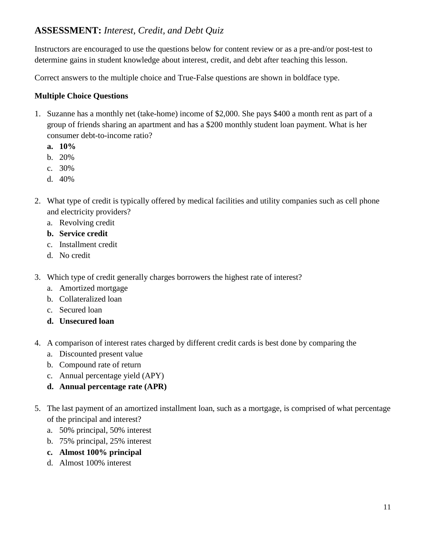## **ASSESSMENT:** *Interest, Credit, and Debt Quiz*

Instructors are encouraged to use the questions below for content review or as a pre-and/or post-test to determine gains in student knowledge about interest, credit, and debt after teaching this lesson.

Correct answers to the multiple choice and True-False questions are shown in boldface type.

### **Multiple Choice Questions**

- 1. Suzanne has a monthly net (take-home) income of \$2,000. She pays \$400 a month rent as part of a group of friends sharing an apartment and has a \$200 monthly student loan payment. What is her consumer debt-to-income ratio?
	- **a. 10%**
	- b. 20%
	- c. 30%
	- d. 40%
- 2. What type of credit is typically offered by medical facilities and utility companies such as cell phone and electricity providers?
	- a. Revolving credit
	- **b. Service credit**
	- c. Installment credit
	- d. No credit
- 3. Which type of credit generally charges borrowers the highest rate of interest?
	- a. Amortized mortgage
	- b. Collateralized loan
	- c. Secured loan
	- **d. Unsecured loan**
- 4. A comparison of interest rates charged by different credit cards is best done by comparing the
	- a. Discounted present value
	- b. Compound rate of return
	- c. Annual percentage yield (APY)
	- **d. Annual percentage rate (APR)**
- 5. The last payment of an amortized installment loan, such as a mortgage, is comprised of what percentage of the principal and interest?
	- a. 50% principal, 50% interest
	- b. 75% principal, 25% interest
	- **c. Almost 100% principal**
	- d. Almost 100% interest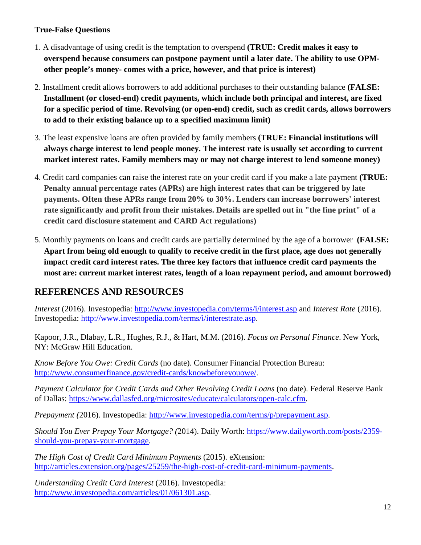### **True-False Questions**

- 1. A disadvantage of using credit is the temptation to overspend **(TRUE: Credit makes it easy to overspend because consumers can postpone payment until a later date. The ability to use OPMother people's money- comes with a price, however, and that price is interest)**
- 2. Installment credit allows borrowers to add additional purchases to their outstanding balance **(FALSE: Installment (or closed-end) credit payments, which include both principal and interest, are fixed for a specific period of time. Revolving (or open-end) credit, such as credit cards, allows borrowers to add to their existing balance up to a specified maximum limit)**
- 3. The least expensive loans are often provided by family members **(TRUE: Financial institutions will always charge interest to lend people money. The interest rate is usually set according to current market interest rates. Family members may or may not charge interest to lend someone money)**
- 4. Credit card companies can raise the interest rate on your credit card if you make a late payment **(TRUE: Penalty annual percentage rates (APRs) are high interest rates that can be triggered by late payments. Often these APRs range from 20% to 30%. Lenders can increase borrowers' interest rate significantly and profit from their mistakes. Details are spelled out in "the fine print" of a credit card disclosure statement and CARD Act regulations)**
- 5. Monthly payments on loans and credit cards are partially determined by the age of a borrower **(FALSE: Apart from being old enough to qualify to receive credit in the first place, age does not generally impact credit card interest rates. The three key factors that influence credit card payments the most are: current market interest rates, length of a loan repayment period, and amount borrowed)**

## **REFERENCES AND RESOURCES**

*Interest* (2016). Investopedia:<http://www.investopedia.com/terms/i/interest.asp> and *Interest Rate* (2016). Investopedia: [http://www.investopedia.com/terms/i/interestrate.asp.](http://www.investopedia.com/terms/i/interestrate.asp)

Kapoor, J.R., Dlabay, L.R., Hughes, R.J., & Hart, M.M. (2016). *Focus on Personal Finance*. New York, NY: McGraw Hill Education.

*Know Before You Owe: Credit Cards* (no date). Consumer Financial Protection Bureau: [http://www.consumerfinance.gov/credit-cards/knowbeforeyouowe/.](http://www.consumerfinance.gov/credit-cards/knowbeforeyouowe/)

*Payment Calculator for Credit Cards and Other Revolving Credit Loans* (no date). Federal Reserve Bank of Dallas: [https://www.dallasfed.org/microsites/educate/calculators/open-calc.cfm.](https://www.dallasfed.org/microsites/educate/calculators/open-calc.cfm)

*Prepayment (*2016). Investopedia: [http://www.investopedia.com/terms/p/prepayment.asp.](http://www.investopedia.com/terms/p/prepayment.asp)

*Should You Ever Prepay Your Mortgage? (*2014). Daily Worth: [https://www.dailyworth.com/posts/2359](https://www.dailyworth.com/posts/2359-should-you-prepay-your-mortgage) [should-you-prepay-your-mortgage.](https://www.dailyworth.com/posts/2359-should-you-prepay-your-mortgage)

*The High Cost of Credit Card Minimum Payments* (2015). eXtension: [http://articles.extension.org/pages/25259/the-high-cost-of-credit-card-minimum-payments.](http://articles.extension.org/pages/25259/the-high-cost-of-credit-card-minimum-payments)

*Understanding Credit Card Interest* (2016). Investopedia: [http://www.investopedia.com/articles/01/061301.asp.](http://www.investopedia.com/articles/01/061301.asp)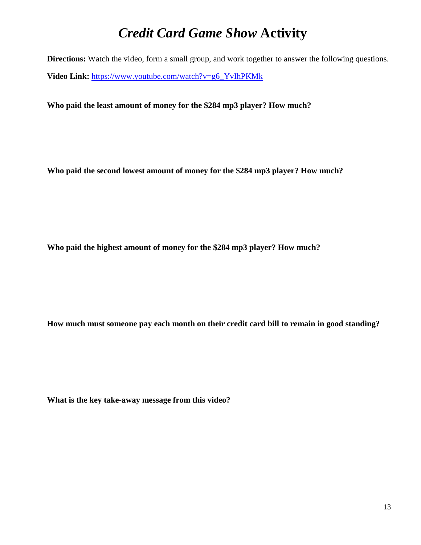## *Credit Card Game Show* **Activity**

**Directions:** Watch the video, form a small group, and work together to answer the following questions. **Video Link:** [https://www.youtube.com/watch?v=g6\\_YvIhPKMk](https://www.youtube.com/watch?v=g6_YvIhPKMk)

**Who paid the least amount of money for the \$284 mp3 player? How much?**

**Who paid the second lowest amount of money for the \$284 mp3 player? How much?**

**Who paid the highest amount of money for the \$284 mp3 player? How much?**

**How much must someone pay each month on their credit card bill to remain in good standing?**

**What is the key take-away message from this video?**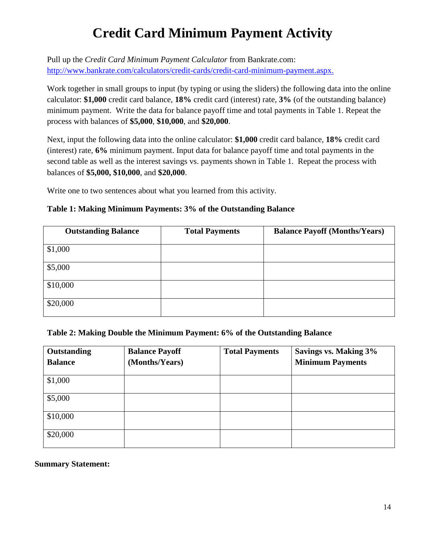# **Credit Card Minimum Payment Activity**

Pull up the *Credit Card Minimum Payment Calculator* from Bankrate.com: [http://www.bankrate.com/calculators/credit-cards/credit-card-minimum-payment.aspx.](http://www.bankrate.com/calculators/credit-cards/credit-card-minimum-payment.aspx)

Work together in small groups to input (by typing or using the sliders) the following data into the online calculator: **\$1,000** credit card balance, **18%** credit card (interest) rate, **3%** (of the outstanding balance) minimum payment. Write the data for balance payoff time and total payments in Table 1. Repeat the process with balances of **\$5,000**, **\$10,000**, and **\$20,000**.

Next, input the following data into the online calculator: **\$1,000** credit card balance, **18%** credit card (interest) rate, **6%** minimum payment. Input data for balance payoff time and total payments in the second table as well as the interest savings vs. payments shown in Table 1. Repeat the process with balances of **\$5,000, \$10,000**, and **\$20,000**.

Write one to two sentences about what you learned from this activity.

### **Table 1: Making Minimum Payments: 3% of the Outstanding Balance**

| <b>Outstanding Balance</b> | <b>Total Payments</b> | <b>Balance Payoff (Months/Years)</b> |
|----------------------------|-----------------------|--------------------------------------|
| \$1,000                    |                       |                                      |
| \$5,000                    |                       |                                      |
| \$10,000                   |                       |                                      |
| \$20,000                   |                       |                                      |

#### **Table 2: Making Double the Minimum Payment: 6% of the Outstanding Balance**

| Outstanding<br><b>Balance</b> | <b>Balance Payoff</b><br>(Months/Years) | <b>Total Payments</b> | <b>Savings vs. Making 3%</b><br><b>Minimum Payments</b> |
|-------------------------------|-----------------------------------------|-----------------------|---------------------------------------------------------|
| \$1,000                       |                                         |                       |                                                         |
| \$5,000                       |                                         |                       |                                                         |
| \$10,000                      |                                         |                       |                                                         |
| \$20,000                      |                                         |                       |                                                         |

#### **Summary Statement:**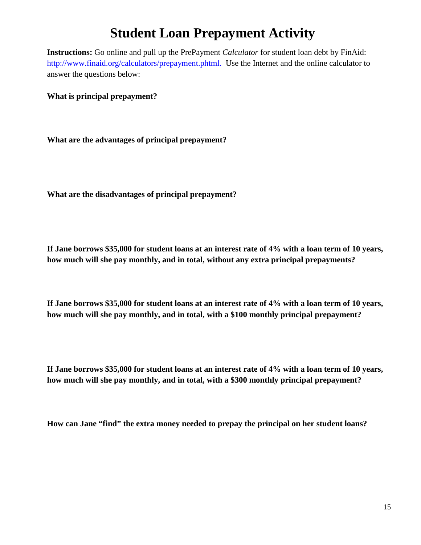# **Student Loan Prepayment Activity**

**Instructions:** Go online and pull up the PrePayment *Calculator* for student loan debt by FinAid: [http://www.finaid.org/calculators/prepayment.phtml.](http://www.finaid.org/calculators/prepayment.phtml) Use the Internet and the online calculator to answer the questions below:

**What is principal prepayment?**

**What are the advantages of principal prepayment?** 

**What are the disadvantages of principal prepayment?** 

**If Jane borrows \$35,000 for student loans at an interest rate of 4% with a loan term of 10 years, how much will she pay monthly, and in total, without any extra principal prepayments?**

**If Jane borrows \$35,000 for student loans at an interest rate of 4% with a loan term of 10 years, how much will she pay monthly, and in total, with a \$100 monthly principal prepayment?**

**If Jane borrows \$35,000 for student loans at an interest rate of 4% with a loan term of 10 years, how much will she pay monthly, and in total, with a \$300 monthly principal prepayment?**

**How can Jane "find" the extra money needed to prepay the principal on her student loans?**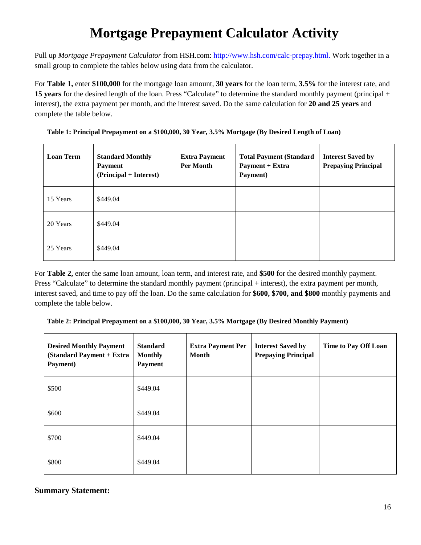# **Mortgage Prepayment Calculator Activity**

Pull up *Mortgage Prepayment Calculator* from HSH.com: [http://www.hsh.com/calc-prepay.html.](http://www.hsh.com/calc-prepay.html) Work together in a small group to complete the tables below using data from the calculator.

For **Table 1,** enter **\$100,000** for the mortgage loan amount, **30 years** for the loan term, **3.5%** for the interest rate, and **15 years** for the desired length of the loan. Press "Calculate" to determine the standard monthly payment (principal + interest), the extra payment per month, and the interest saved. Do the same calculation for **20 and 25 years** and complete the table below.

| <b>Loan Term</b> | <b>Standard Monthly</b><br><b>Payment</b><br>(Principal + Interest) | <b>Extra Payment</b><br>Per Month | <b>Total Payment (Standard)</b><br>Payment + Extra<br>Payment) | <b>Interest Saved by</b><br><b>Prepaying Principal</b> |
|------------------|---------------------------------------------------------------------|-----------------------------------|----------------------------------------------------------------|--------------------------------------------------------|
| 15 Years         | \$449.04                                                            |                                   |                                                                |                                                        |
| 20 Years         | \$449.04                                                            |                                   |                                                                |                                                        |
| 25 Years         | \$449.04                                                            |                                   |                                                                |                                                        |

**Table 1: Principal Prepayment on a \$100,000, 30 Year, 3.5% Mortgage (By Desired Length of Loan)**

For **Table 2,** enter the same loan amount, loan term, and interest rate, and **\$500** for the desired monthly payment. Press "Calculate" to determine the standard monthly payment (principal + interest), the extra payment per month, interest saved, and time to pay off the loan. Do the same calculation for **\$600, \$700, and \$800** monthly payments and complete the table below.

**Table 2: Principal Prepayment on a \$100,000, 30 Year, 3.5% Mortgage (By Desired Monthly Payment)**

| <b>Desired Monthly Payment</b><br>(Standard Payment + Extra<br>Payment) | <b>Standard</b><br><b>Monthly</b><br>Payment | <b>Extra Payment Per</b><br><b>Month</b> | <b>Interest Saved by</b><br><b>Prepaying Principal</b> | Time to Pay Off Loan |
|-------------------------------------------------------------------------|----------------------------------------------|------------------------------------------|--------------------------------------------------------|----------------------|
| \$500                                                                   | \$449.04                                     |                                          |                                                        |                      |
| \$600                                                                   | \$449.04                                     |                                          |                                                        |                      |
| \$700                                                                   | \$449.04                                     |                                          |                                                        |                      |
| \$800                                                                   | \$449.04                                     |                                          |                                                        |                      |

#### **Summary Statement:**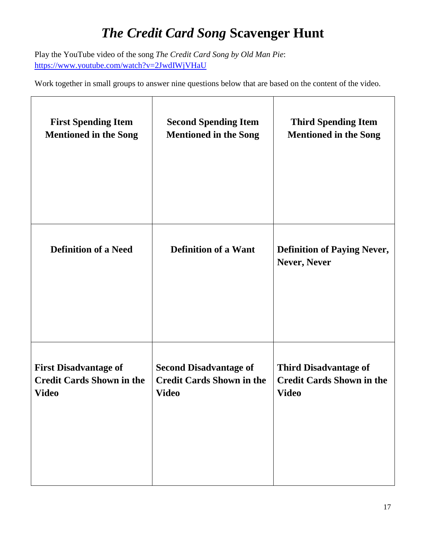# *The Credit Card Song* **Scavenger Hunt**

Play the YouTube video of the song *The Credit Card Song by Old Man Pie*: <https://www.youtube.com/watch?v=2JwdIWjVHaU>

Work together in small groups to answer nine questions below that are based on the content of the video.

| <b>First Spending Item</b>       | <b>Second Spending Item</b>      | <b>Third Spending Item</b>                         |
|----------------------------------|----------------------------------|----------------------------------------------------|
| <b>Mentioned in the Song</b>     | <b>Mentioned in the Song</b>     | <b>Mentioned in the Song</b>                       |
| <b>Definition of a Need</b>      | <b>Definition of a Want</b>      | <b>Definition of Paying Never,</b><br>Never, Never |
| <b>First Disadvantage of</b>     | <b>Second Disadvantage of</b>    | <b>Third Disadvantage of</b>                       |
| <b>Credit Cards Shown in the</b> | <b>Credit Cards Shown in the</b> | <b>Credit Cards Shown in the</b>                   |
| <b>Video</b>                     | <b>Video</b>                     | <b>Video</b>                                       |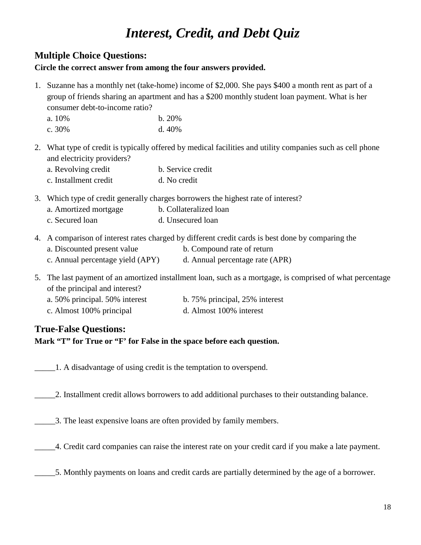# *Interest, Credit, and Debt Quiz*

## **Multiple Choice Questions:**

#### **Circle the correct answer from among the four answers provided.**

- 1. Suzanne has a monthly net (take-home) income of \$2,000. She pays \$400 a month rent as part of a group of friends sharing an apartment and has a \$200 monthly student loan payment. What is her consumer debt-to-income ratio?
	- a. 10% b. 20%
	- c. 30% d. 40%
- 2. What type of credit is typically offered by medical facilities and utility companies such as cell phone and electricity providers?
	- a. Revolving credit b. Service credit c. Installment credit d. No credit
- 3. Which type of credit generally charges borrowers the highest rate of interest?
	- a. Amortized mortgage b. Collateralized loan
	- c. Secured loan d. Unsecured loan
- 4. A comparison of interest rates charged by different credit cards is best done by comparing the
	- a. Discounted present value b. Compound rate of return
	- c. Annual percentage yield (APY) d. Annual percentage rate (APR)
- 5. The last payment of an amortized installment loan, such as a mortgage, is comprised of what percentage of the principal and interest?
	- a. 50% principal. 50% interest b. 75% principal, 25% interest
	- c. Almost 100% principal d. Almost 100% interest

### **True-False Questions:**

**Mark "T" for True or "F' for False in the space before each question.**

\_\_\_\_\_1. A disadvantage of using credit is the temptation to overspend.

\_\_\_\_\_2. Installment credit allows borrowers to add additional purchases to their outstanding balance.

- \_\_\_\_\_3. The least expensive loans are often provided by family members.
- \_\_\_\_\_4. Credit card companies can raise the interest rate on your credit card if you make a late payment.
	- \_\_\_\_\_5. Monthly payments on loans and credit cards are partially determined by the age of a borrower.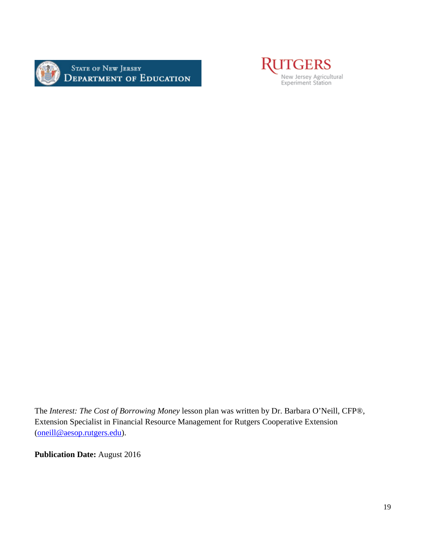

STATE OF NEW JERSEY<br>DEPARTMENT OF EDUCATION



The *Interest: The Cost of Borrowing Money* lesson plan was written by Dr. Barbara O'Neill, CFP®, Extension Specialist in Financial Resource Management for Rutgers Cooperative Extension [\(oneill@aesop.rutgers.edu\)](mailto:oneill@aesop.rutgers.edu).

**Publication Date:** August 2016